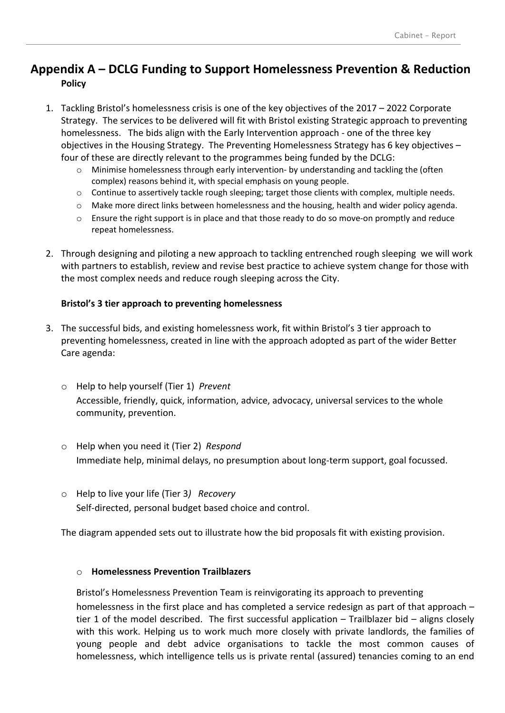# **Appendix A – DCLG Funding to Support Homelessness Prevention & Reduction Policy**

- 1. Tackling Bristol's homelessness crisis is one of the key objectives of the 2017 2022 Corporate Strategy. The services to be delivered will fit with Bristol existing Strategic approach to preventing homelessness. The bids align with the Early Intervention approach - one of the three key objectives in the Housing Strategy. The Preventing Homelessness Strategy has 6 key objectives – four of these are directly relevant to the programmes being funded by the DCLG:
	- $\circ$  Minimise homelessness through early intervention- by understanding and tackling the (often complex) reasons behind it, with special emphasis on young people.
	- o Continue to assertively tackle rough sleeping; target those clients with complex, multiple needs.
	- o Make more direct links between homelessness and the housing, health and wider policy agenda.
	- $\circ$  Ensure the right support is in place and that those ready to do so move-on promptly and reduce repeat homelessness.
- 2. Through designing and piloting a new approach to tackling entrenched rough sleeping we will work with partners to establish, review and revise best practice to achieve system change for those with the most complex needs and reduce rough sleeping across the City.

## **Bristol's 3 tier approach to preventing homelessness**

- 3. The successful bids, and existing homelessness work, fit within Bristol's 3 tier approach to preventing homelessness, created in line with the approach adopted as part of the wider Better Care agenda:
	- o Help to help yourself (Tier 1) *Prevent* Accessible, friendly, quick, information, advice, advocacy, universal services to the whole community, prevention.
	- o Help when you need it (Tier 2) *Respond* Immediate help, minimal delays, no presumption about long-term support, goal focussed.
	- o Help to live your life (Tier 3*) Recovery* Self-directed, personal budget based choice and control.

The diagram appended sets out to illustrate how the bid proposals fit with existing provision.

### o **Homelessness Prevention Trailblazers**

Bristol's Homelessness Prevention Team is reinvigorating its approach to preventing homelessness in the first place and has completed a service redesign as part of that approach – tier 1 of the model described. The first successful application – Trailblazer bid – aligns closely with this work. Helping us to work much more closely with private landlords, the families of young people and debt advice organisations to tackle the most common causes of homelessness, which intelligence tells us is private rental (assured) tenancies coming to an end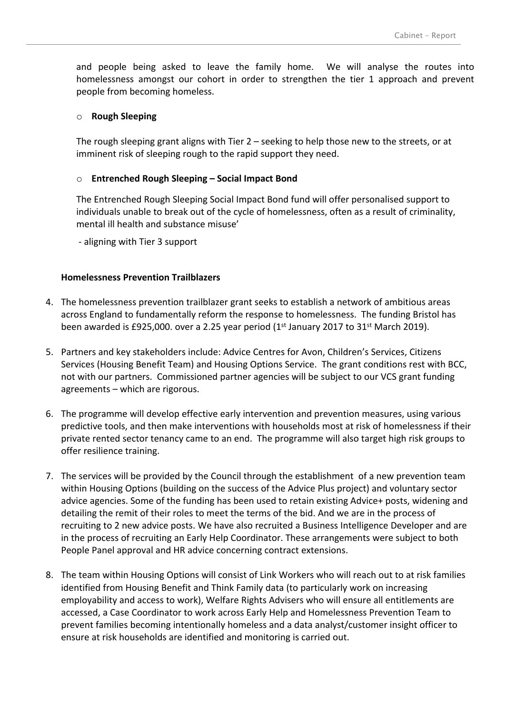and people being asked to leave the family home. We will analyse the routes into homelessness amongst our cohort in order to strengthen the tier 1 approach and prevent people from becoming homeless.

#### o **Rough Sleeping**

The rough sleeping grant aligns with Tier 2 – seeking to help those new to the streets, or at imminent risk of sleeping rough to the rapid support they need.

#### o **Entrenched Rough Sleeping – Social Impact Bond**

The Entrenched Rough Sleeping Social Impact Bond fund will offer personalised support to individuals unable to break out of the cycle of homelessness, often as a result of criminality, mental ill health and substance misuse'

- aligning with Tier 3 support

#### **Homelessness Prevention Trailblazers**

- 4. The homelessness prevention trailblazer grant seeks to establish a network of ambitious areas across England to fundamentally reform the response to homelessness. The funding Bristol has been awarded is £925,000. over a 2.25 year period  $(1<sup>st</sup>$  January 2017 to 31<sup>st</sup> March 2019).
- 5. Partners and key stakeholders include: Advice Centres for Avon, Children's Services, Citizens Services (Housing Benefit Team) and Housing Options Service. The grant conditions rest with BCC, not with our partners. Commissioned partner agencies will be subject to our VCS grant funding agreements – which are rigorous.
- 6. The programme will develop effective early intervention and prevention measures, using various predictive tools, and then make interventions with households most at risk of homelessness if their private rented sector tenancy came to an end. The programme will also target high risk groups to offer resilience training.
- 7. The services will be provided by the Council through the establishment of a new prevention team within Housing Options (building on the success of the Advice Plus project) and voluntary sector advice agencies. Some of the funding has been used to retain existing Advice+ posts, widening and detailing the remit of their roles to meet the terms of the bid. And we are in the process of recruiting to 2 new advice posts. We have also recruited a Business Intelligence Developer and are in the process of recruiting an Early Help Coordinator. These arrangements were subject to both People Panel approval and HR advice concerning contract extensions.
- 8. The team within Housing Options will consist of Link Workers who will reach out to at risk families identified from Housing Benefit and Think Family data (to particularly work on increasing employability and access to work), Welfare Rights Advisers who will ensure all entitlements are accessed, a Case Coordinator to work across Early Help and Homelessness Prevention Team to prevent families becoming intentionally homeless and a data analyst/customer insight officer to ensure at risk households are identified and monitoring is carried out.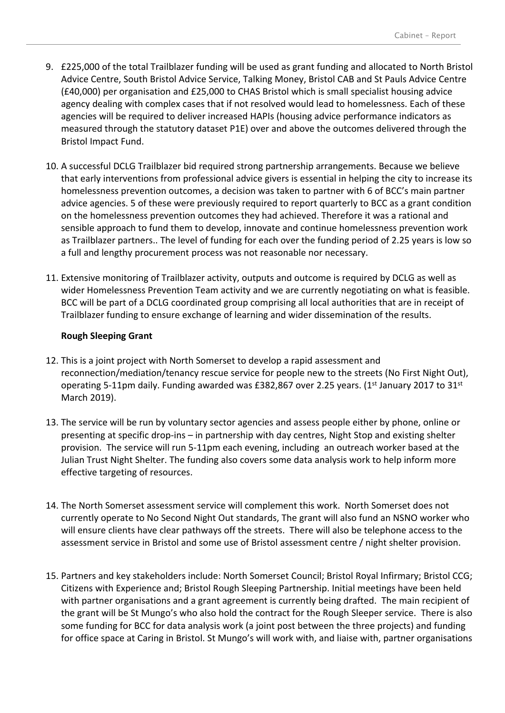- 9. £225,000 of the total Trailblazer funding will be used as grant funding and allocated to North Bristol Advice Centre, South Bristol Advice Service, Talking Money, Bristol CAB and St Pauls Advice Centre (£40,000) per organisation and £25,000 to CHAS Bristol which is small specialist housing advice agency dealing with complex cases that if not resolved would lead to homelessness. Each of these agencies will be required to deliver increased HAPIs (housing advice performance indicators as measured through the statutory dataset P1E) over and above the outcomes delivered through the Bristol Impact Fund.
- 10. A successful DCLG Trailblazer bid required strong partnership arrangements. Because we believe that early interventions from professional advice givers is essential in helping the city to increase its homelessness prevention outcomes, a decision was taken to partner with 6 of BCC's main partner advice agencies. 5 of these were previously required to report quarterly to BCC as a grant condition on the homelessness prevention outcomes they had achieved. Therefore it was a rational and sensible approach to fund them to develop, innovate and continue homelessness prevention work as Trailblazer partners.. The level of funding for each over the funding period of 2.25 years is low so a full and lengthy procurement process was not reasonable nor necessary.
- 11. Extensive monitoring of Trailblazer activity, outputs and outcome is required by DCLG as well as wider Homelessness Prevention Team activity and we are currently negotiating on what is feasible. BCC will be part of a DCLG coordinated group comprising all local authorities that are in receipt of Trailblazer funding to ensure exchange of learning and wider dissemination of the results.

#### **Rough Sleeping Grant**

- 12. This is a joint project with North Somerset to develop a rapid assessment and reconnection/mediation/tenancy rescue service for people new to the streets (No First Night Out), operating 5-11pm daily. Funding awarded was £382,867 over 2.25 years. (1<sup>st</sup> January 2017 to 31<sup>st</sup> March 2019).
- 13. The service will be run by voluntary sector agencies and assess people either by phone, online or presenting at specific drop-ins – in partnership with day centres, Night Stop and existing shelter provision. The service will run 5-11pm each evening, including an outreach worker based at the Julian Trust Night Shelter. The funding also covers some data analysis work to help inform more effective targeting of resources.
- 14. The North Somerset assessment service will complement this work. North Somerset does not currently operate to No Second Night Out standards, The grant will also fund an NSNO worker who will ensure clients have clear pathways off the streets. There will also be telephone access to the assessment service in Bristol and some use of Bristol assessment centre / night shelter provision.
- 15. Partners and key stakeholders include: North Somerset Council; Bristol Royal Infirmary; Bristol CCG; Citizens with Experience and; Bristol Rough Sleeping Partnership. Initial meetings have been held with partner organisations and a grant agreement is currently being drafted. The main recipient of the grant will be St Mungo's who also hold the contract for the Rough Sleeper service. There is also some funding for BCC for data analysis work (a joint post between the three projects) and funding for office space at Caring in Bristol. St Mungo's will work with, and liaise with, partner organisations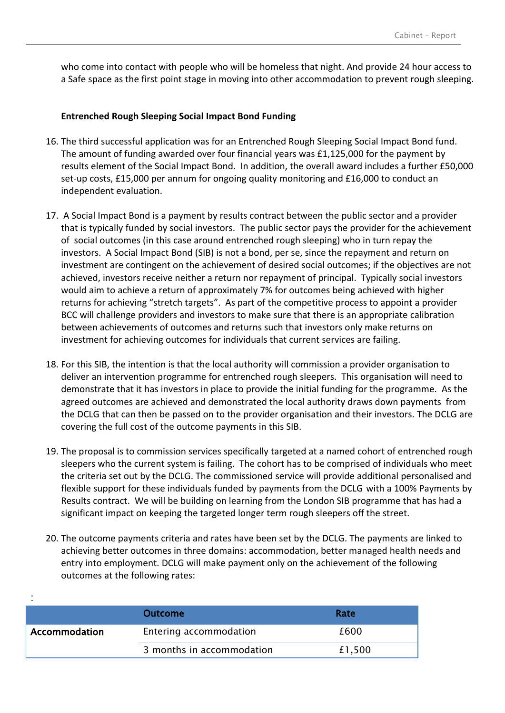who come into contact with people who will be homeless that night. And provide 24 hour access to a Safe space as the first point stage in moving into other accommodation to prevent rough sleeping.

#### **Entrenched Rough Sleeping Social Impact Bond Funding**

- 16. The third successful application was for an Entrenched Rough Sleeping Social Impact Bond fund. The amount of funding awarded over four financial years was £1,125,000 for the payment by results element of the Social Impact Bond. In addition, the overall award includes a further £50,000 set-up costs, £15,000 per annum for ongoing quality monitoring and £16,000 to conduct an independent evaluation.
- 17. A Social Impact Bond is a payment by results contract between the public sector and a provider that is typically funded by social investors. The public sector pays the provider for the achievement of social outcomes (in this case around entrenched rough sleeping) who in turn repay the investors. A Social Impact Bond (SIB) is not a bond, per se, since the repayment and return on investment are contingent on the achievement of desired social outcomes; if the objectives are not achieved, investors receive neither a return nor repayment of principal. Typically social investors would aim to achieve a return of approximately 7% for outcomes being achieved with higher returns for achieving "stretch targets". As part of the competitive process to appoint a provider BCC will challenge providers and investors to make sure that there is an appropriate calibration between achievements of outcomes and returns such that investors only make returns on investment for achieving outcomes for individuals that current services are failing.
- 18. For this SIB, the intention is that the local authority will commission a provider organisation to deliver an intervention programme for entrenched rough sleepers. This organisation will need to demonstrate that it has investors in place to provide the initial funding for the programme. As the agreed outcomes are achieved and demonstrated the local authority draws down payments from the DCLG that can then be passed on to the provider organisation and their investors. The DCLG are covering the full cost of the outcome payments in this SIB.
- 19. The proposal is to commission services specifically targeted at a named cohort of entrenched rough sleepers who the current system is failing. The cohort has to be comprised of individuals who meet the criteria set out by the DCLG. The commissioned service will provide additional personalised and flexible support for these individuals funded by payments from the DCLG with a 100% Payments by Results contract. We will be building on learning from the London SIB programme that has had a significant impact on keeping the targeted longer term rough sleepers off the street.
- 20. The outcome payments criteria and rates have been set by the DCLG. The payments are linked to achieving better outcomes in three domains: accommodation, better managed health needs and entry into employment. DCLG will make payment only on the achievement of the following outcomes at the following rates:

|               | <b>Outcome</b>            | Rate   |  |
|---------------|---------------------------|--------|--|
| Accommodation | Entering accommodation    | £600   |  |
|               | 3 months in accommodation | £1,500 |  |

: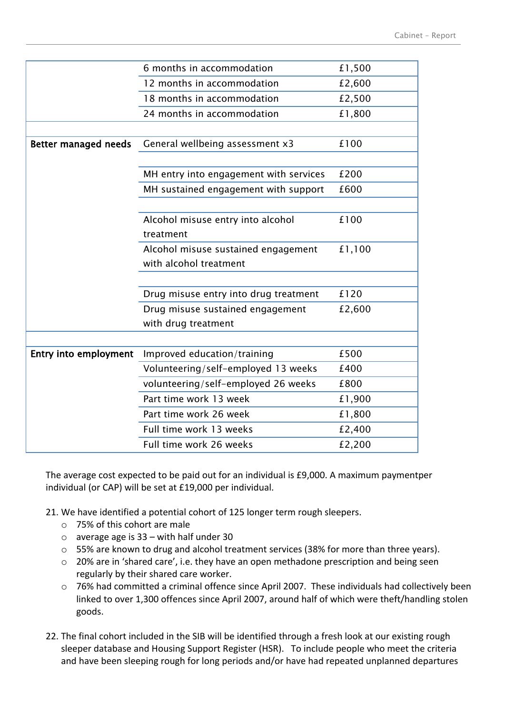|                              | 6 months in accommodation              | £1,500 |
|------------------------------|----------------------------------------|--------|
|                              | 12 months in accommodation             | £2,600 |
|                              | 18 months in accommodation             | £2,500 |
|                              | 24 months in accommodation             | £1,800 |
|                              |                                        |        |
| <b>Better managed needs</b>  | General wellbeing assessment x3        | £100   |
|                              |                                        |        |
|                              | MH entry into engagement with services | £200   |
|                              | MH sustained engagement with support   | £600   |
|                              |                                        |        |
|                              | Alcohol misuse entry into alcohol      | £100   |
|                              | treatment                              |        |
|                              | Alcohol misuse sustained engagement    | £1,100 |
|                              | with alcohol treatment                 |        |
|                              |                                        |        |
|                              | Drug misuse entry into drug treatment  | £120   |
|                              | Drug misuse sustained engagement       | £2,600 |
|                              | with drug treatment                    |        |
|                              |                                        |        |
| <b>Entry into employment</b> | Improved education/training            | £500   |
|                              | Volunteering/self-employed 13 weeks    | £400   |
|                              | volunteering/self-employed 26 weeks    | £800   |
|                              | Part time work 13 week                 | £1,900 |
|                              | Part time work 26 week                 | £1,800 |
|                              | Full time work 13 weeks                | £2,400 |
|                              | Full time work 26 weeks                | £2,200 |
|                              |                                        |        |

The average cost expected to be paid out for an individual is £9,000. A maximum paymentper individual (or CAP) will be set at £19,000 per individual.

- 21. We have identified a potential cohort of 125 longer term rough sleepers.
	- o 75% of this cohort are male
	- $\circ$  average age is 33 with half under 30
	- o 55% are known to drug and alcohol treatment services (38% for more than three years).
	- o 20% are in 'shared care', i.e. they have an open methadone prescription and being seen regularly by their shared care worker.
	- o 76% had committed a criminal offence since April 2007. These individuals had collectively been linked to over 1,300 offences since April 2007, around half of which were theft/handling stolen goods.
- 22. The final cohort included in the SIB will be identified through a fresh look at our existing rough sleeper database and Housing Support Register (HSR). To include people who meet the criteria and have been sleeping rough for long periods and/or have had repeated unplanned departures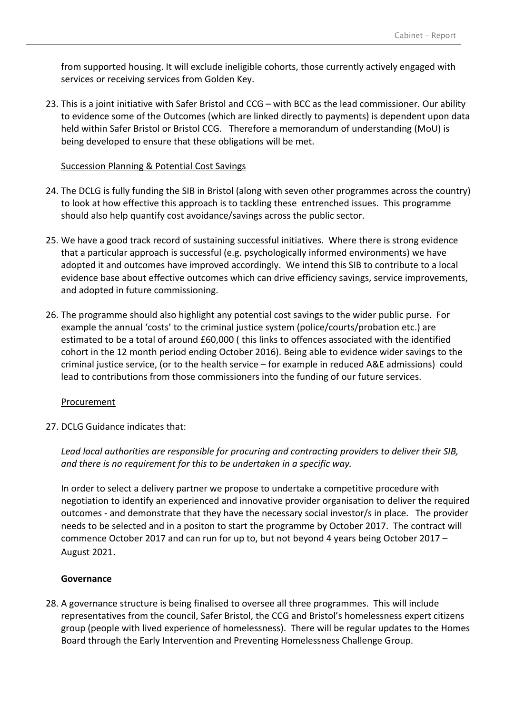from supported housing. It will exclude ineligible cohorts, those currently actively engaged with services or receiving services from Golden Key.

23. This is a joint initiative with Safer Bristol and CCG – with BCC as the lead commissioner. Our ability to evidence some of the Outcomes (which are linked directly to payments) is dependent upon data held within Safer Bristol or Bristol CCG. Therefore a memorandum of understanding (MoU) is being developed to ensure that these obligations will be met.

#### Succession Planning & Potential Cost Savings

- 24. The DCLG is fully funding the SIB in Bristol (along with seven other programmes across the country) to look at how effective this approach is to tackling these entrenched issues. This programme should also help quantify cost avoidance/savings across the public sector.
- 25. We have a good track record of sustaining successful initiatives. Where there is strong evidence that a particular approach is successful (e.g. psychologically informed environments) we have adopted it and outcomes have improved accordingly. We intend this SIB to contribute to a local evidence base about effective outcomes which can drive efficiency savings, service improvements, and adopted in future commissioning.
- 26. The programme should also highlight any potential cost savings to the wider public purse. For example the annual 'costs' to the criminal justice system (police/courts/probation etc.) are estimated to be a total of around £60,000 ( this links to offences associated with the identified cohort in the 12 month period ending October 2016). Being able to evidence wider savings to the criminal justice service, (or to the health service – for example in reduced A&E admissions) could lead to contributions from those commissioners into the funding of our future services.

#### **Procurement**

27. DCLG Guidance indicates that:

*Lead local authorities are responsible for procuring and contracting providers to deliver their SIB, and there is no requirement for this to be undertaken in a specific way.*

In order to select a delivery partner we propose to undertake a competitive procedure with negotiation to identify an experienced and innovative provider organisation to deliver the required outcomes - and demonstrate that they have the necessary social investor/s in place. The provider needs to be selected and in a positon to start the programme by October 2017. The contract will commence October 2017 and can run for up to, but not beyond 4 years being October 2017 – August 2021.

#### **Governance**

28. A governance structure is being finalised to oversee all three programmes. This will include representatives from the council, Safer Bristol, the CCG and Bristol's homelessness expert citizens group (people with lived experience of homelessness). There will be regular updates to the Homes Board through the Early Intervention and Preventing Homelessness Challenge Group.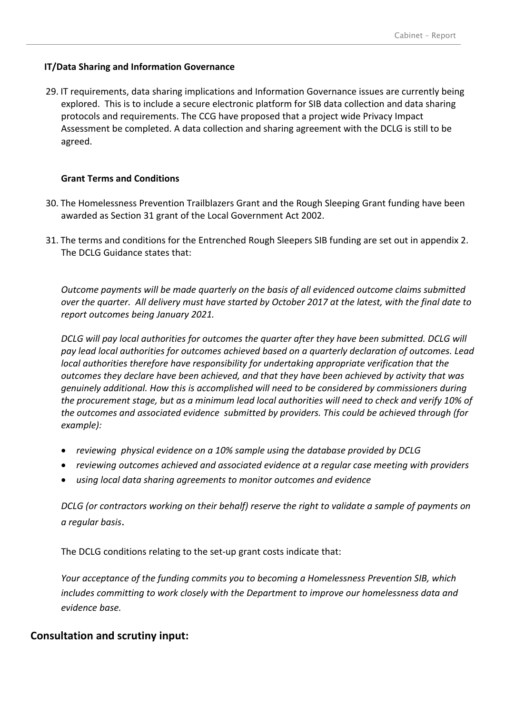## **IT/Data Sharing and Information Governance**

29. IT requirements, data sharing implications and Information Governance issues are currently being explored. This is to include a secure electronic platform for SIB data collection and data sharing protocols and requirements. The CCG have proposed that a project wide Privacy Impact Assessment be completed. A data collection and sharing agreement with the DCLG is still to be agreed.

## **Grant Terms and Conditions**

- 30. The Homelessness Prevention Trailblazers Grant and the Rough Sleeping Grant funding have been awarded as Section 31 grant of the Local Government Act 2002.
- 31. The terms and conditions for the Entrenched Rough Sleepers SIB funding are set out in appendix 2. The DCLG Guidance states that:

*Outcome payments will be made quarterly on the basis of all evidenced outcome claims submitted* over the quarter. All delivery must have started by October 2017 at the latest, with the final date to *report outcomes being January 2021.*

*DCLG will pay local authorities for outcomes the quarter after they have been submitted. DCLG will pay lead local authorities for outcomes achieved based on a quarterly declaration of outcomes. Lead local authorities therefore have responsibility for undertaking appropriate verification that the outcomes they declare have been achieved, and that they have been achieved by activity that was genuinely additional. How this is accomplished will need to be considered by commissioners during* the procurement stage, but as a minimum lead local authorities will need to check and verify 10% of *the outcomes and associated evidence submitted by providers. This could be achieved through (for example):*

- *reviewing physical evidence on a 10% sample using the database provided by DCLG*
- *reviewing outcomes achieved and associated evidence at a regular case meeting with providers*
- *using local data sharing agreements to monitor outcomes and evidence*

*DCLG (or contractors working on their behalf) reserve the right to validate a sample of payments on a regular basis*.

The DCLG conditions relating to the set-up grant costs indicate that:

*Your acceptance of the funding commits you to becoming a Homelessness Prevention SIB, which includes committing to work closely with the Department to improve our homelessness data and evidence base.*

## **Consultation and scrutiny input:**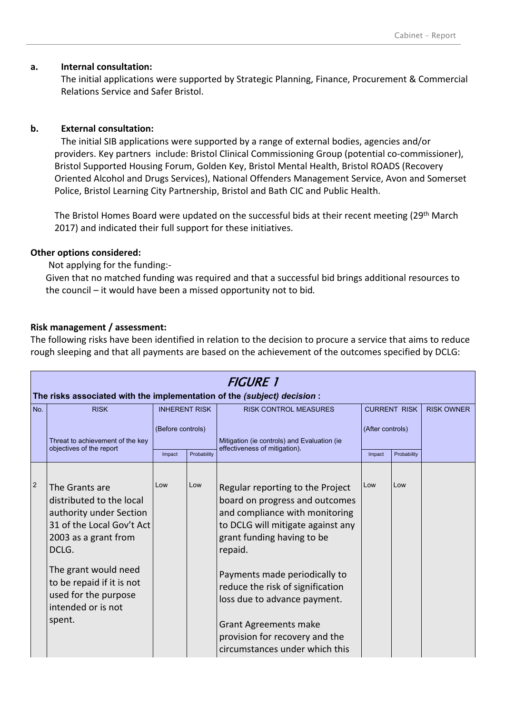#### **a. Internal consultation:**

The initial applications were supported by Strategic Planning, Finance, Procurement & Commercial Relations Service and Safer Bristol.

## **b. External consultation:**

The initial SIB applications were supported by a range of external bodies, agencies and/or providers. Key partners include: Bristol Clinical Commissioning Group (potential co-commissioner), Bristol Supported Housing Forum, Golden Key, Bristol Mental Health, Bristol ROADS (Recovery Oriented Alcohol and Drugs Services), National Offenders Management Service, Avon and Somerset Police, Bristol Learning City Partnership, Bristol and Bath CIC and Public Health.

The Bristol Homes Board were updated on the successful bids at their recent meeting (29<sup>th</sup> March 2017) and indicated their full support for these initiatives.

### **Other options considered:**

Not applying for the funding:-

Given that no matched funding was required and that a successful bid brings additional resources to the council – it would have been a missed opportunity not to bid*.*

## **Risk management / assessment:**

The following risks have been identified in relation to the decision to procure a service that aims to reduce rough sleeping and that all payments are based on the achievement of the outcomes specified by DCLG:

| <b>FIGURE 1</b><br>The risks associated with the implementation of the (subject) decision : |                                                                                                                                     |                      |             |                                                                                                                                                                                                |                  |                     |                   |  |
|---------------------------------------------------------------------------------------------|-------------------------------------------------------------------------------------------------------------------------------------|----------------------|-------------|------------------------------------------------------------------------------------------------------------------------------------------------------------------------------------------------|------------------|---------------------|-------------------|--|
| No.                                                                                         | <b>RISK</b>                                                                                                                         | <b>INHERENT RISK</b> |             | <b>RISK CONTROL MEASURES</b>                                                                                                                                                                   |                  | <b>CURRENT RISK</b> | <b>RISK OWNER</b> |  |
|                                                                                             | Threat to achievement of the key                                                                                                    | (Before controls)    |             | Mitigation (ie controls) and Evaluation (ie                                                                                                                                                    | (After controls) |                     |                   |  |
|                                                                                             | objectives of the report                                                                                                            | Impact               | Probability | effectiveness of mitigation).                                                                                                                                                                  | Impact           | Probability         |                   |  |
| $\overline{2}$                                                                              | The Grants are<br>distributed to the local<br>authority under Section<br>31 of the Local Gov't Act<br>2003 as a grant from<br>DCLG. | Low                  | Low         | Regular reporting to the Project<br>board on progress and outcomes<br>and compliance with monitoring<br>to DCLG will mitigate against any<br>grant funding having to be<br>repaid.             | Low              | Low                 |                   |  |
|                                                                                             | The grant would need<br>to be repaid if it is not<br>used for the purpose<br>intended or is not<br>spent.                           |                      |             | Payments made periodically to<br>reduce the risk of signification<br>loss due to advance payment.<br>Grant Agreements make<br>provision for recovery and the<br>circumstances under which this |                  |                     |                   |  |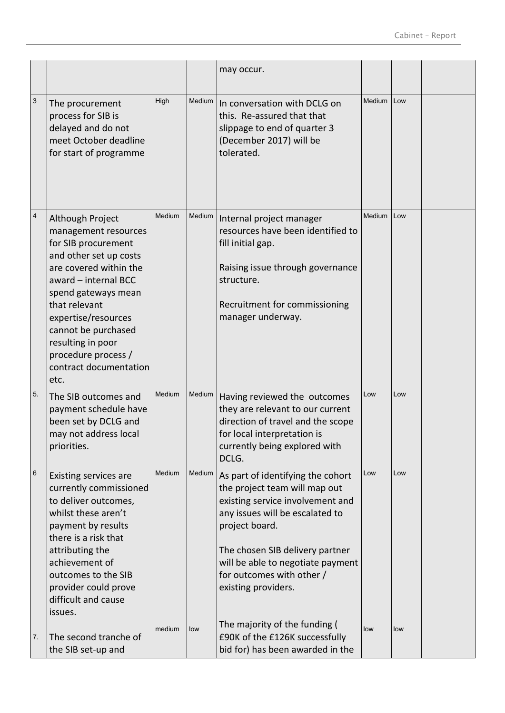|           |                                                                                                                                                                                                                                                                                                                 |        |        | may occur.                                                                                                                                                                                                                                                                              |               |     |  |
|-----------|-----------------------------------------------------------------------------------------------------------------------------------------------------------------------------------------------------------------------------------------------------------------------------------------------------------------|--------|--------|-----------------------------------------------------------------------------------------------------------------------------------------------------------------------------------------------------------------------------------------------------------------------------------------|---------------|-----|--|
| $\vert$ 3 | The procurement<br>process for SIB is<br>delayed and do not<br>meet October deadline<br>for start of programme                                                                                                                                                                                                  | High   | Medium | In conversation with DCLG on<br>this. Re-assured that that<br>slippage to end of quarter 3<br>(December 2017) will be<br>tolerated.                                                                                                                                                     | <b>Medium</b> | Low |  |
| $\vert$ 4 | Although Project<br>management resources<br>for SIB procurement<br>and other set up costs<br>are covered within the<br>award - internal BCC<br>spend gateways mean<br>that relevant<br>expertise/resources<br>cannot be purchased<br>resulting in poor<br>procedure process /<br>contract documentation<br>etc. | Medium | Medium | Internal project manager<br>resources have been identified to<br>fill initial gap.<br>Raising issue through governance<br>structure.<br>Recruitment for commissioning<br>manager underway.                                                                                              | Medium        | Low |  |
| 5.        | The SIB outcomes and<br>payment schedule have<br>been set by DCLG and<br>may not address local<br>priorities.                                                                                                                                                                                                   | Medium | Medium | Having reviewed the outcomes<br>they are relevant to our current<br>direction of travel and the scope<br>for local interpretation is<br>currently being explored with<br>DCLG.                                                                                                          | Low           | Low |  |
| 6         | Existing services are<br>currently commissioned<br>to deliver outcomes,<br>whilst these aren't<br>payment by results<br>there is a risk that<br>attributing the<br>achievement of<br>outcomes to the SIB<br>provider could prove<br>difficult and cause<br>issues.                                              | Medium | Medium | As part of identifying the cohort<br>the project team will map out<br>existing service involvement and<br>any issues will be escalated to<br>project board.<br>The chosen SIB delivery partner<br>will be able to negotiate payment<br>for outcomes with other /<br>existing providers. | Low           | Low |  |
| 7.        | The second tranche of<br>the SIB set-up and                                                                                                                                                                                                                                                                     | medium | low    | The majority of the funding (<br>£90K of the £126K successfully<br>bid for) has been awarded in the                                                                                                                                                                                     | low           | low |  |